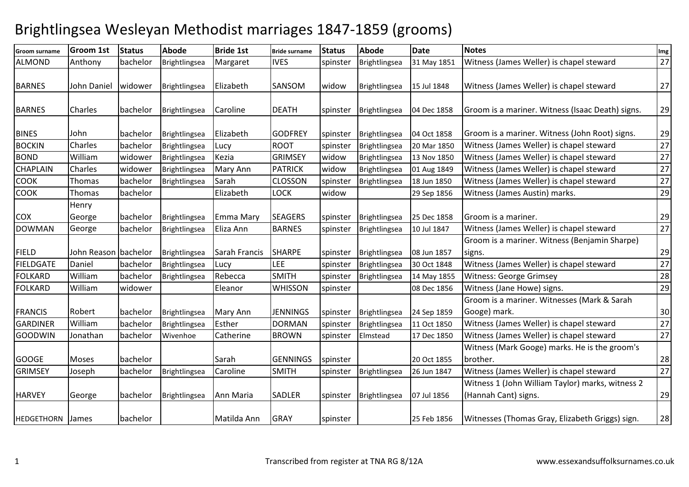## Brightlingsea Wesleyan Methodist marriages 1847-1859 (grooms)

| Groom surname     | Groom 1st            | <b>Status</b> | Abode         | <b>Bride 1st</b> | <b>Bride surname</b> | <b>Status</b> | <b>Abode</b>  | <b>Date</b> | <b>Notes</b>                                                             | Img             |
|-------------------|----------------------|---------------|---------------|------------------|----------------------|---------------|---------------|-------------|--------------------------------------------------------------------------|-----------------|
| ALMOND            | Anthony              | bachelor      | Brightlingsea | Margaret         | <b>IVES</b>          | spinster      | Brightlingsea | 31 May 1851 | Witness (James Weller) is chapel steward                                 | 27              |
| <b>BARNES</b>     | John Daniel          | widower       | Brightlingsea | Elizabeth        | SANSOM               | widow         | Brightlingsea | 15 Jul 1848 | Witness (James Weller) is chapel steward                                 | 27              |
| <b>BARNES</b>     | Charles              | bachelor      | Brightlingsea | Caroline         | <b>DEATH</b>         | spinster      | Brightlingsea | 04 Dec 1858 | Groom is a mariner. Witness (Isaac Death) signs.                         | 29              |
| <b>BINES</b>      | John                 | bachelor      | Brightlingsea | Elizabeth        | <b>GODFREY</b>       | spinster      | Brightlingsea | 04 Oct 1858 | Groom is a mariner. Witness (John Root) signs.                           | 29              |
| <b>BOCKIN</b>     | Charles              | bachelor      | Brightlingsea | Lucy             | <b>ROOT</b>          | spinster      | Brightlingsea | 20 Mar 1850 | Witness (James Weller) is chapel steward                                 | 27              |
| <b>BOND</b>       | William              | widower       | Brightlingsea | Kezia            | <b>GRIMSEY</b>       | widow         | Brightlingsea | 13 Nov 1850 | Witness (James Weller) is chapel steward                                 | 27              |
| <b>CHAPLAIN</b>   | Charles              | widower       | Brightlingsea | Mary Ann         | <b>PATRICK</b>       | widow         | Brightlingsea | 01 Aug 1849 | Witness (James Weller) is chapel steward                                 | 27              |
| <b>COOK</b>       | Thomas               | bachelor      | Brightlingsea | Sarah            | <b>CLOSSON</b>       | spinster      | Brightlingsea | 18 Jun 1850 | Witness (James Weller) is chapel steward                                 | 27              |
| <b>COOK</b>       | Thomas               | bachelor      |               | Elizabeth        | LOCK                 | widow         |               | 29 Sep 1856 | Witness (James Austin) marks.                                            | 29              |
| <b>COX</b>        | Henry<br>George      | bachelor      | Brightlingsea | <b>Emma Mary</b> | <b>SEAGERS</b>       | spinster      | Brightlingsea | 25 Dec 1858 | Groom is a mariner.                                                      | 29              |
| <b>DOWMAN</b>     | George               | bachelor      | Brightlingsea | Eliza Ann        | <b>BARNES</b>        | spinster      | Brightlingsea | 10 Jul 1847 | Witness (James Weller) is chapel steward                                 | 27              |
|                   |                      |               |               |                  |                      |               |               |             | Groom is a mariner. Witness (Benjamin Sharpe)                            |                 |
| <b>FIELD</b>      | John Reason bachelor |               | Brightlingsea | Sarah Francis    | <b>SHARPE</b>        | spinster      | Brightlingsea | 08 Jun 1857 | signs.                                                                   | 29              |
| <b>FIELDGATE</b>  | Daniel               | bachelor      | Brightlingsea | Lucy             | LEE                  | spinster      | Brightlingsea | 30 Oct 1848 | Witness (James Weller) is chapel steward                                 | $\overline{27}$ |
| <b>FOLKARD</b>    | William              | bachelor      | Brightlingsea | Rebecca          | <b>SMITH</b>         | spinster      | Brightlingsea | 14 May 1855 | <b>Witness: George Grimsey</b>                                           | $\overline{28}$ |
| <b>FOLKARD</b>    | William              | widower       |               | Eleanor          | <b>WHISSON</b>       | spinster      |               | 08 Dec 1856 | Witness (Jane Howe) signs.                                               | 29              |
| <b>FRANCIS</b>    | Robert               | bachelor      | Brightlingsea | Mary Ann         | <b>JENNINGS</b>      | spinster      | Brightlingsea | 24 Sep 1859 | Groom is a mariner. Witnesses (Mark & Sarah<br>Googe) mark.              | $30\,$          |
| <b>GARDINER</b>   | William              | bachelor      | Brightlingsea | Esther           | <b>DORMAN</b>        | spinster      | Brightlingsea | 11 Oct 1850 | Witness (James Weller) is chapel steward                                 | 27              |
| <b>GOODWIN</b>    | Jonathan             | bachelor      | Wivenhoe      | Catherine        | <b>BROWN</b>         | spinster      | Elmstead      | 17 Dec 1850 | Witness (James Weller) is chapel steward                                 | 27              |
| <b>GOOGE</b>      | Moses                | bachelor      |               | Sarah            | <b>GENNINGS</b>      | spinster      |               | 20 Oct 1855 | Witness (Mark Googe) marks. He is the groom's<br>brother.                | 28              |
| <b>GRIMSEY</b>    | Joseph               | bachelor      | Brightlingsea | Caroline         | <b>SMITH</b>         | spinster      | Brightlingsea | 26 Jun 1847 | Witness (James Weller) is chapel steward                                 | $\overline{27}$ |
| <b>HARVEY</b>     | George               | bachelor      | Brightlingsea | Ann Maria        | <b>SADLER</b>        | spinster      | Brightlingsea | 07 Jul 1856 | Witness 1 (John William Taylor) marks, witness 2<br>(Hannah Cant) signs. | 29              |
| <b>HEDGETHORN</b> | James                | bachelor      |               | Matilda Ann      | <b>GRAY</b>          | spinster      |               | 25 Feb 1856 | Witnesses (Thomas Gray, Elizabeth Griggs) sign.                          | 28              |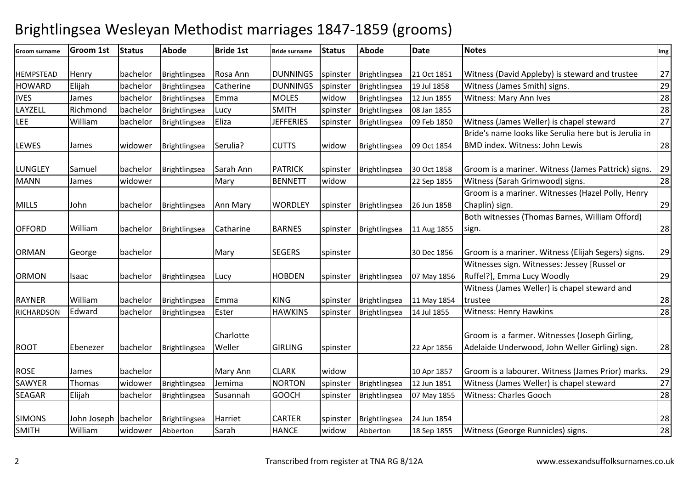## Brightlingsea Wesleyan Methodist marriages 1847-1859 (grooms)

| Groom surname    | <b>Groom 1st</b>     | <b>Status</b> | Abode         | <b>Bride 1st</b> | <b>Bride surname</b> | <b>Status</b> | <b>Abode</b>  | <b>Date</b> | <b>Notes</b>                                           | Img             |
|------------------|----------------------|---------------|---------------|------------------|----------------------|---------------|---------------|-------------|--------------------------------------------------------|-----------------|
|                  |                      |               |               |                  |                      |               |               |             |                                                        |                 |
| <b>HEMPSTEAD</b> | Henry                | bachelor      | Brightlingsea | Rosa Ann         | <b>DUNNINGS</b>      | spinster      | Brightlingsea | 21 Oct 1851 | Witness (David Appleby) is steward and trustee         | 27              |
| <b>HOWARD</b>    | Elijah               | bachelor      | Brightlingsea | Catherine        | <b>DUNNINGS</b>      | spinster      | Brightlingsea | 19 Jul 1858 | Witness (James Smith) signs.                           | 29              |
| <b>IVES</b>      | James                | bachelor      | Brightlingsea | Emma             | <b>MOLES</b>         | widow         | Brightlingsea | 12 Jun 1855 | Witness: Mary Ann Ives                                 | $\overline{28}$ |
| LAYZELL          | Richmond             | bachelor      | Brightlingsea | Lucy             | <b>SMITH</b>         | spinster      | Brightlingsea | 08 Jan 1855 |                                                        | 28              |
| LEE              | William              | bachelor      | Brightlingsea | Eliza            | <b>JEFFERIES</b>     | spinster      | Brightlingsea | 09 Feb 1850 | Witness (James Weller) is chapel steward               | $\overline{27}$ |
|                  |                      |               |               |                  |                      |               |               |             | Bride's name looks like Serulia here but is Jerulia in |                 |
| <b>LEWES</b>     | James                | widower       | Brightlingsea | Serulia?         | <b>CUTTS</b>         | widow         | Brightlingsea | 09 Oct 1854 | <b>BMD index. Witness: John Lewis</b>                  | 28              |
| <b>LUNGLEY</b>   | Samuel               | bachelor      | Brightlingsea | Sarah Ann        | <b>PATRICK</b>       | spinster      | Brightlingsea | 30 Oct 1858 | Groom is a mariner. Witness (James Pattrick) signs.    | 29              |
| <b>MANN</b>      | James                | widower       |               | Mary             | <b>BENNETT</b>       | widow         |               | 22 Sep 1855 | Witness (Sarah Grimwood) signs.                        | 28              |
|                  |                      |               |               |                  |                      |               |               |             | Groom is a mariner. Witnesses (Hazel Polly, Henry      |                 |
| <b>MILLS</b>     | John                 | bachelor      | Brightlingsea | Ann Mary         | <b>WORDLEY</b>       | spinster      | Brightlingsea | 26 Jun 1858 | Chaplin) sign.                                         | 29              |
|                  |                      |               |               |                  |                      |               |               |             | Both witnesses (Thomas Barnes, William Offord)         |                 |
| <b>OFFORD</b>    | William              | bachelor      | Brightlingsea | Catharine        | <b>BARNES</b>        | spinster      | Brightlingsea | 11 Aug 1855 | sign.                                                  | 28              |
|                  |                      |               |               |                  |                      |               |               |             |                                                        |                 |
| <b>ORMAN</b>     | George               | bachelor      |               | Mary             | <b>SEGERS</b>        | spinster      |               | 30 Dec 1856 | Groom is a mariner. Witness (Elijah Segers) signs.     | 29              |
|                  |                      |               |               |                  |                      |               |               |             | Witnesses sign. Witnesses: Jessey [Russel or           |                 |
| <b>ORMON</b>     | Isaac                | bachelor      | Brightlingsea | Lucy             | <b>HOBDEN</b>        | spinster      | Brightlingsea | 07 May 1856 | Ruffel?], Emma Lucy Woodly                             | 29              |
|                  |                      |               |               |                  |                      |               |               |             | Witness (James Weller) is chapel steward and           |                 |
| <b>RAYNER</b>    | William              | bachelor      | Brightlingsea | Emma             | <b>KING</b>          | spinster      | Brightlingsea | 11 May 1854 | trustee                                                | 28              |
| RICHARDSON       | Edward               | bachelor      | Brightlingsea | Ester            | <b>HAWKINS</b>       | spinster      | Brightlingsea | 14 Jul 1855 | <b>Witness: Henry Hawkins</b>                          | 28              |
|                  |                      |               |               |                  |                      |               |               |             |                                                        |                 |
|                  |                      |               |               | Charlotte        |                      |               |               |             | Groom is a farmer. Witnesses (Joseph Girling,          |                 |
| <b>ROOT</b>      | Ebenezer             | bachelor      | Brightlingsea | Weller           | <b>GIRLING</b>       | spinster      |               | 22 Apr 1856 | Adelaide Underwood, John Weller Girling) sign.         | 28              |
|                  |                      |               |               |                  |                      |               |               |             |                                                        |                 |
| <b>ROSE</b>      | James                | bachelor      |               | Mary Ann         | <b>CLARK</b>         | widow         |               | 10 Apr 1857 | Groom is a labourer. Witness (James Prior) marks.      | 29              |
| SAWYER           | Thomas               | widower       | Brightlingsea | Jemima           | <b>NORTON</b>        | spinster      | Brightlingsea | 12 Jun 1851 | Witness (James Weller) is chapel steward               | $\overline{27}$ |
| <b>SEAGAR</b>    | Elijah               | bachelor      | Brightlingsea | Susannah         | <b>GOOCH</b>         | spinster      | Brightlingsea | 07 May 1855 | Witness: Charles Gooch                                 | 28              |
|                  |                      |               |               |                  |                      |               |               |             |                                                        |                 |
| <b>SIMONS</b>    | John Joseph bachelor |               | Brightlingsea | Harriet          | <b>CARTER</b>        | spinster      | Brightlingsea | 24 Jun 1854 |                                                        | 28              |
| SMITH            | William              | widower       | Abberton      | Sarah            | <b>HANCE</b>         | widow         | Abberton      | 18 Sep 1855 | Witness (George Runnicles) signs.                      | $\overline{28}$ |